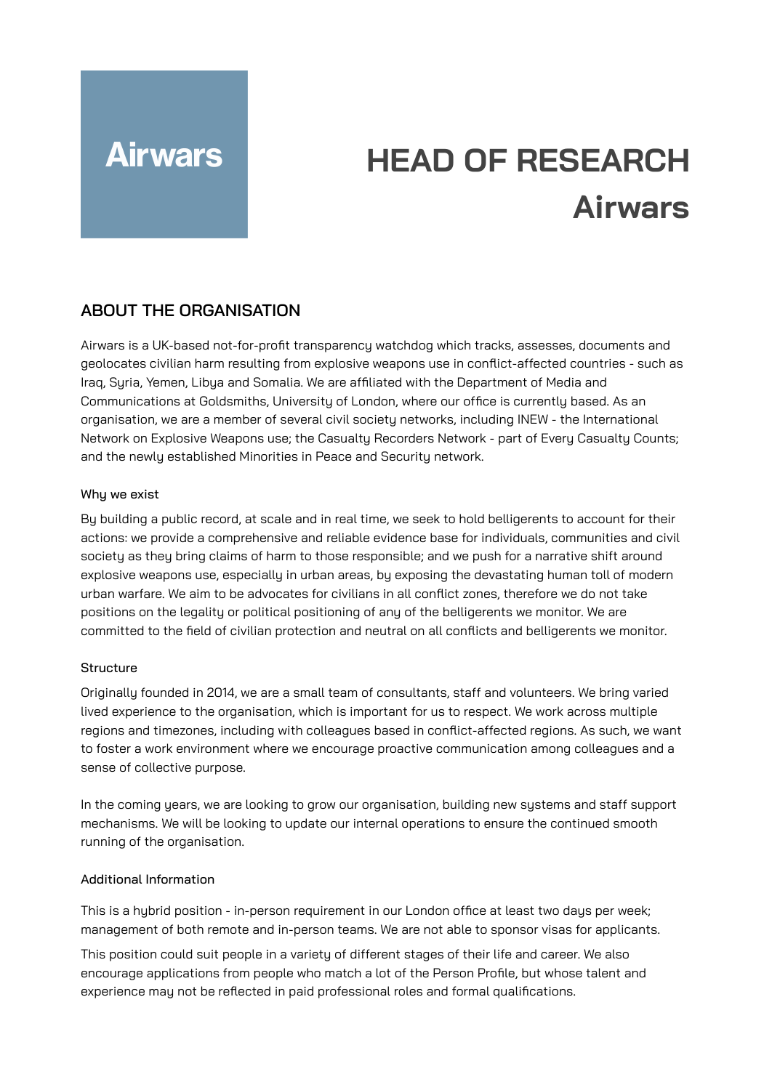# **Airwars**

# **HEAD OF RESEARCH Airwars**

# **ABOUT THE ORGANISATION**

Airwars is a UK-based not-for-profit transparency watchdog which tracks, assesses, documents and geolocates civilian harm resulting from explosive weapons use in conflict-affected countries - such as Iraq, Syria, Yemen, Libya and Somalia. We are affiliated with the Department of Media and Communications at Goldsmiths, University of London, where our office is currently based. As an organisation, we are a member of several civil society networks, including INEW - the International Network on Explosive Weapons use; the Casualty Recorders Network - part of Every Casualty Counts; and the newly established Minorities in Peace and Security network.

#### Why we exist

By building a public record, at scale and in real time, we seek to hold belligerents to account for their actions: we provide a comprehensive and reliable evidence base for individuals, communities and civil society as they bring claims of harm to those responsible; and we push for a narrative shift around explosive weapons use, especially in urban areas, by exposing the devastating human toll of modern urban warfare. We aim to be advocates for civilians in all conflict zones, therefore we do not take positions on the legality or political positioning of any of the belligerents we monitor. We are committed to the field of civilian protection and neutral on all conflicts and belligerents we monitor.

#### **Structure**

Originally founded in 2014, we are a small team of consultants, staff and volunteers. We bring varied lived experience to the organisation, which is important for us to respect. We work across multiple regions and timezones, including with colleagues based in conflict-affected regions. As such, we want to foster a work environment where we encourage proactive communication among colleagues and a sense of collective purpose.

In the coming years, we are looking to grow our organisation, building new systems and staff support mechanisms. We will be looking to update our internal operations to ensure the continued smooth running of the organisation.

#### Additional Information

This is a hybrid position - in-person requirement in our London office at least two days per week; management of both remote and in-person teams. We are not able to sponsor visas for applicants.

This position could suit people in a variety of different stages of their life and career. We also encourage applications from people who match a lot of the Person Profile, but whose talent and experience may not be reflected in paid professional roles and formal qualifications.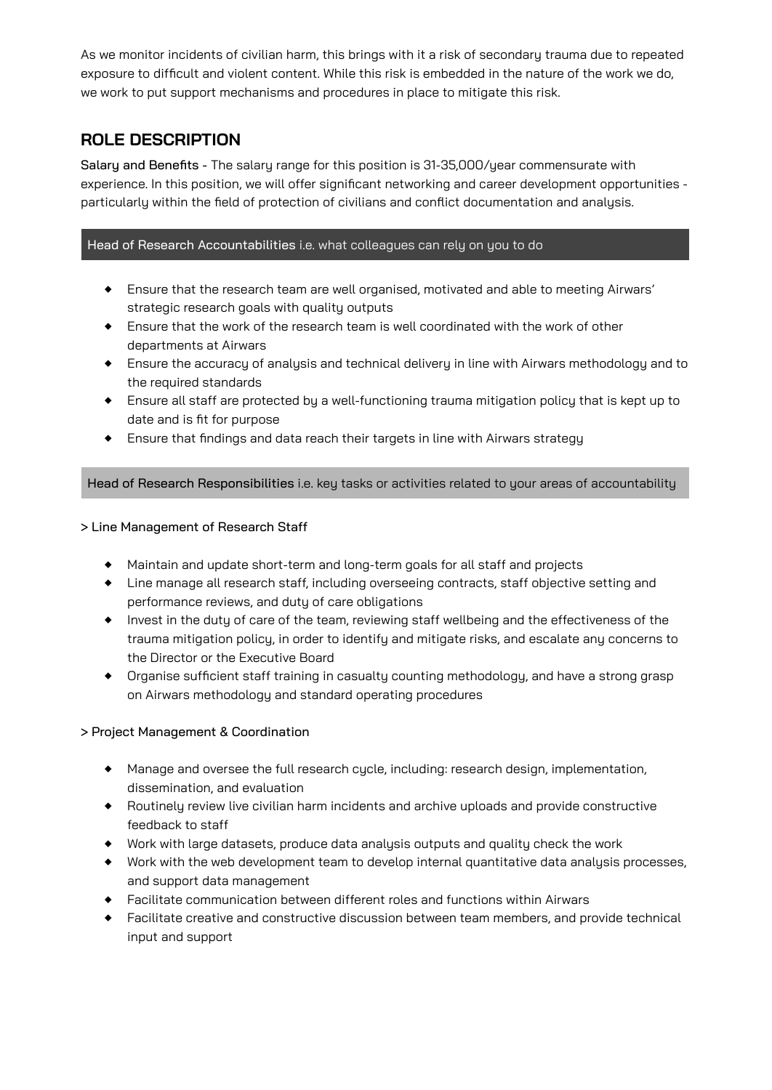As we monitor incidents of civilian harm, this brings with it a risk of secondary trauma due to repeated exposure to difficult and violent content. While this risk is embedded in the nature of the work we do, we work to put support mechanisms and procedures in place to mitigate this risk.

# **ROLE DESCRIPTION**

Salary and Benefits - The salary range for this position is 31-35,000/year commensurate with experience. In this position, we will offer significant networking and career development opportunities particularly within the field of protection of civilians and conflict documentation and analysis.

#### Head of Research Accountabilities i.e. what colleagues can rely on you to do

- ◆ Ensure that the research team are well organised, motivated and able to meeting Airwars' strategic research goals with quality outputs
- ◆ Ensure that the work of the research team is well coordinated with the work of other departments at Airwars
- ◆ Ensure the accuracu of analusis and technical deliveru in line with Airwars methodologu and to the required standards
- ◆ Ensure all staff are protected by a well-functioning trauma mitigation policy that is kept up to date and is fit for purpose
- ◆ Ensure that findings and data reach their targets in line with Airwars strategy

Head of Research Responsibilities i.e. key tasks or activities related to your areas of accountability

#### > Line Management of Research Staff

- ◆ Maintain and update short-term and long-term goals for all staff and projects
- ◆ Line manage all research staff, including overseeing contracts, staff objective setting and performance reviews, and duty of care obligations
- ◆ Invest in the duty of care of the team, reviewing staff wellbeing and the effectiveness of the trauma mitigation policy, in order to identify and mitigate risks, and escalate any concerns to the Director or the Executive Board
- ◆ Organise sufficient staff training in casualtu counting methodology, and have a strong grasp on Airwars methodology and standard operating procedures

#### > Project Management & Coordination

- ◆ Manage and oversee the full research cycle, including: research design, implementation, dissemination, and evaluation
- ◆ Routinelu review live civilian harm incidents and archive uploads and provide constructive feedback to staff
- ◆ Work with large datasets, produce data analysis outputs and quality check the work
- ◆ Work with the web development team to develop internal quantitative data analysis processes, and support data management
- ◆ Facilitate communication between different roles and functions within Airwars
- ◆ Facilitate creative and constructive discussion between team members, and provide technical input and support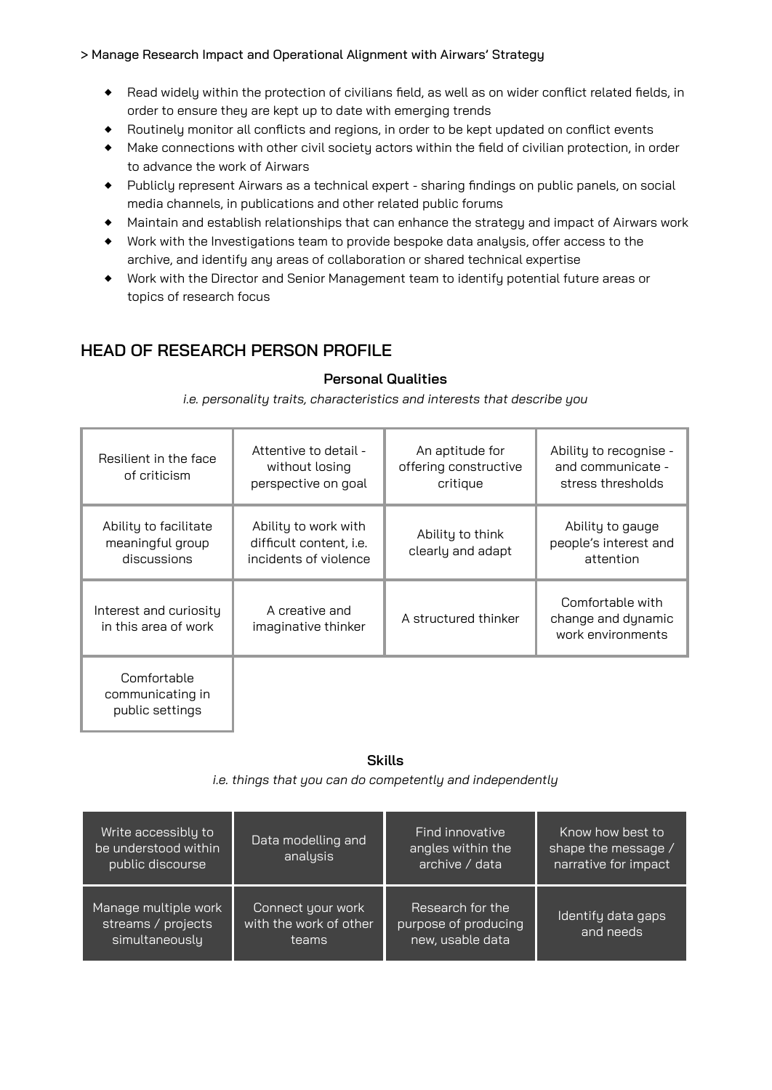#### > Manage Research Impact and Operational Alignment with Airwars' Strategy

- ◆ Read widely within the protection of civilians field, as well as on wider conflict related fields, in order to ensure they are kept up to date with emerging trends
- ◆ Routinely monitor all conflicts and regions, in order to be kept updated on conflict events
- ◆ Make connections with other civil society actors within the field of civilian protection, in order to advance the work of Airwars
- ◆ Publicly represent Airwars as a technical expert sharing findings on public panels, on social media channels, in publications and other related public forums
- ◆ Maintain and establish relationships that can enhance the strategy and impact of Airwars work
- ◆ Work with the Investigations team to provide bespoke data analysis, offer access to the archive, and identify any areas of collaboration or shared technical expertise
- ◆ Work with the Director and Senior Management team to identify potential future areas or topics of research focus

# **HEAD OF RESEARCH PERSON PROFILE**

#### **Personal Qualities**

*i.e. personality traits, characteristics and interests that describe you*

| Resilient in the face<br>of criticism                    | Attentive to detail -<br>without losing<br>perspective on goal           | An aptitude for<br>offering constructive<br>critique | Ability to recognise -<br>and communicate -<br>stress thresholds |
|----------------------------------------------------------|--------------------------------------------------------------------------|------------------------------------------------------|------------------------------------------------------------------|
| Ability to facilitate<br>meaningful group<br>discussions | Ability to work with<br>difficult content, i.e.<br>incidents of violence | Ability to think<br>clearly and adapt                | Ability to gauge<br>people's interest and<br>attention           |
| Interest and curiosity<br>in this area of work           | A creative and<br>imaginative thinker                                    | A structured thinker                                 | Comfortable with<br>change and dynamic<br>work environments      |
| Comfortable<br>communicating in<br>public settings       |                                                                          |                                                      |                                                                  |

#### **Skills**

*i.e. things that you can do competently and independently*

| Write accessibly to<br>be understood within<br>public discourse | Data modelling and<br>analysis                       | Find innovative<br>angles within the<br>archive / data       | Know how best to<br>shape the message /<br>narrative for impact |
|-----------------------------------------------------------------|------------------------------------------------------|--------------------------------------------------------------|-----------------------------------------------------------------|
| Manage multiple work<br>streams / projects<br>simultaneously    | Connect your work<br>with the work of other<br>teams | Research for the<br>purpose of producing<br>new, usable data | Identify data gaps<br>and needs                                 |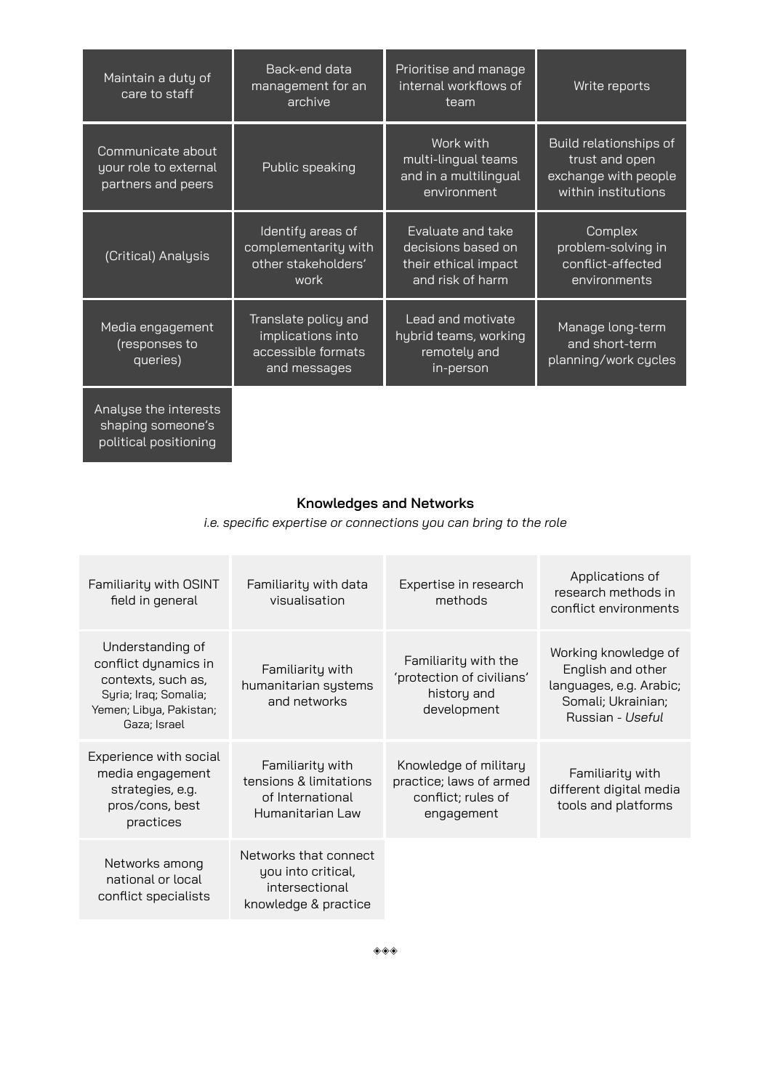| Maintain a duty of<br>care to staff                                 | Back-end data<br>management for an<br>archive                                   | Prioritise and manage<br>internal workflows of<br>team                              | Write reports                                                                           |
|---------------------------------------------------------------------|---------------------------------------------------------------------------------|-------------------------------------------------------------------------------------|-----------------------------------------------------------------------------------------|
| Communicate about<br>your role to external<br>partners and peers    | Public speaking                                                                 | Work with<br>multi-lingual teams<br>and in a multilingual<br>environment            | Build relationships of<br>trust and open<br>exchange with people<br>within institutions |
| (Critical) Analysis                                                 | Identify areas of<br>complementarity with<br>other stakeholders'<br>work        | Evaluate and take<br>decisions based on<br>their ethical impact<br>and risk of harm | Complex<br>problem-solving in<br>conflict-affected<br>environments                      |
| Media engagement<br>(responses to<br>queries)                       | Translate policy and<br>implications into<br>accessible formats<br>and messages | Lead and motivate<br>hybrid teams, working<br>remotely and<br>in-person             | Manage long-term<br>and short-term<br>planning/work cycles                              |
| Analyse the interests<br>shaping someone's<br>political positioning |                                                                                 |                                                                                     |                                                                                         |

### **Knowledges and Networks**

*i.e. specific expertise or connections you can bring to the role*

| Familiarity with OSINT<br>field in general                                                                                         | Familiarity with data<br>visualisation                                                | Expertise in research<br>methods                                                     | Applications of<br>research methods in<br>conflict environments                                                |
|------------------------------------------------------------------------------------------------------------------------------------|---------------------------------------------------------------------------------------|--------------------------------------------------------------------------------------|----------------------------------------------------------------------------------------------------------------|
| Understanding of<br>conflict dynamics in<br>contexts, such as,<br>Syria; Iraq; Somalia;<br>Yemen; Libya, Pakistan;<br>Gaza; Israel | Familiarity with<br>humanitarian systems<br>and networks                              | Familiarity with the<br>'protection of civilians'<br>history and<br>development      | Working knowledge of<br>English and other<br>languages, e.g. Arabic;<br>Somali; Ukrainian;<br>Russian - Useful |
| Experience with social<br>media engagement<br>strategies, e.g.<br>pros/cons, best<br>practices                                     | Familiarity with<br>tensions & limitations<br>of International<br>Humanitarian Law    | Knowledge of military<br>practice; laws of armed<br>conflict; rules of<br>engagement | Familiarity with<br>different digital media<br>tools and platforms                                             |
| Networks among<br>national or local<br>conflict specialists                                                                        | Networks that connect<br>you into critical,<br>intersectional<br>knowledge & practice |                                                                                      |                                                                                                                |